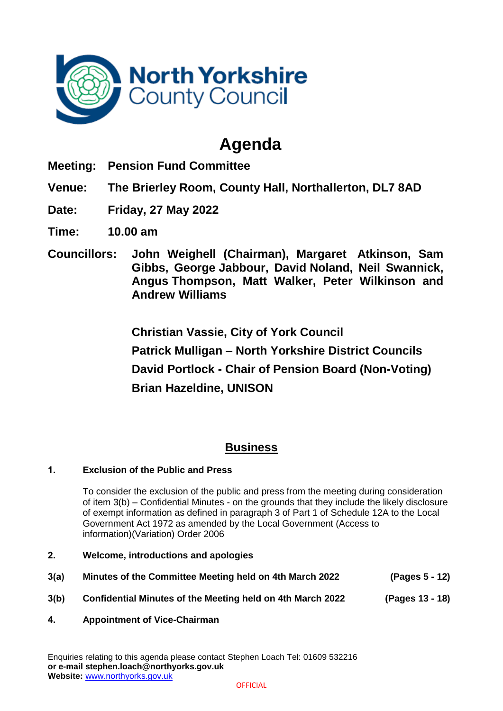

# **Agenda**

- **Meeting: Pension Fund Committee**
- **Venue: The Brierley Room, County Hall, Northallerton, DL7 8AD**
- **Date: Friday, 27 May 2022**
- **Time: 10.00 am**
- **Councillors: John Weighell (Chairman), Margaret Atkinson, Sam Gibbs, George Jabbour, David Noland, Neil Swannick, Angus Thompson, Matt Walker, Peter Wilkinson and Andrew Williams**

**Christian Vassie, City of York Council Patrick Mulligan – North Yorkshire District Councils David Portlock - Chair of Pension Board (Non-Voting) Brian Hazeldine, UNISON**

## **Business**

### **1. Exclusion of the Public and Press**

To consider the exclusion of the public and press from the meeting during consideration of item 3(b) – Confidential Minutes - on the grounds that they include the likely disclosure of exempt information as defined in paragraph 3 of Part 1 of Schedule 12A to the Local Government Act 1972 as amended by the Local Government (Access to information)(Variation) Order 2006

- **2. Welcome, introductions and apologies**
- **3(a) Minutes of the Committee Meeting held on 4th March 2022 (Pages 5 - 12)**
- **3(b) Confidential Minutes of the Meeting held on 4th March 2022 (Pages 13 - 18)**
- **4. Appointment of Vice-Chairman**